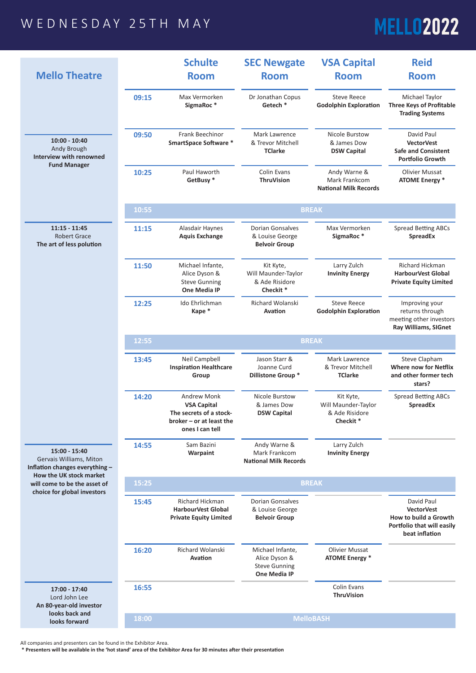## WEDNESDAY 25TH MAY

## **MELL02022**

| <b>Mello Theatre</b>                                                                                  |       | <b>Schulte</b><br><b>Room</b>                                                                                        | <b>SEC Newgate</b><br><b>Room</b>                                          | <b>VSA Capital</b><br><b>Room</b>                                          | <b>Reid</b><br><b>Room</b>                                                                  |
|-------------------------------------------------------------------------------------------------------|-------|----------------------------------------------------------------------------------------------------------------------|----------------------------------------------------------------------------|----------------------------------------------------------------------------|---------------------------------------------------------------------------------------------|
|                                                                                                       | 09:15 | Max Vermorken<br>SigmaRoc*                                                                                           | Dr Jonathan Copus<br>Getech *                                              | <b>Steve Reece</b><br><b>Godolphin Exploration</b>                         | Michael Taylor<br><b>Three Keys of Profitable</b><br><b>Trading Systems</b>                 |
| $10:00 - 10:40$<br>Andy Brough<br>Interview with renowned<br><b>Fund Manager</b>                      | 09:50 | <b>Frank Beechinor</b><br><b>SmartSpace Software *</b>                                                               | Mark Lawrence<br>& Trevor Mitchell<br><b>TClarke</b>                       | <b>Nicole Burstow</b><br>& James Dow<br><b>DSW Capital</b>                 | David Paul<br><b>VectorVest</b><br><b>Safe and Consistent</b><br><b>Portfolio Growth</b>    |
|                                                                                                       | 10:25 | Paul Haworth<br>GetBusy*                                                                                             | <b>Colin Evans</b><br><b>ThruVision</b>                                    | Andy Warne &<br>Mark Frankcom<br><b>National Milk Records</b>              | <b>Olivier Mussat</b><br><b>ATOME Energy *</b>                                              |
|                                                                                                       | 10:55 |                                                                                                                      | <b>BREAK</b>                                                               |                                                                            |                                                                                             |
| $11:15 - 11:45$<br><b>Robert Grace</b><br>The art of less polution                                    | 11:15 | Alasdair Haynes<br><b>Aquis Exchange</b>                                                                             | <b>Dorian Gonsalves</b><br>& Louise George<br><b>Belvoir Group</b>         | Max Vermorken<br>SigmaRoc*                                                 | <b>Spread Betting ABCs</b><br><b>SpreadEx</b>                                               |
|                                                                                                       | 11:50 | Michael Infante,<br>Alice Dyson &<br><b>Steve Gunning</b><br><b>One Media IP</b>                                     | Kit Kyte,<br>Will Maunder-Taylor<br>& Ade Risidore<br>Checkit <sup>*</sup> | Larry Zulch<br><b>Invinity Energy</b>                                      | <b>Richard Hickman</b><br><b>HarbourVest Global</b><br><b>Private Equity Limited</b>        |
|                                                                                                       | 12:25 | Ido Ehrlichman<br>Kape *                                                                                             | Richard Wolanski<br><b>Avation</b>                                         | <b>Steve Reece</b><br><b>Godolphin Exploration</b>                         | Improving your<br>returns through<br>meeting other investors<br><b>Ray Williams, SIGnet</b> |
|                                                                                                       | 12:55 |                                                                                                                      | <b>BREAK</b>                                                               |                                                                            |                                                                                             |
|                                                                                                       | 13:45 | <b>Neil Campbell</b><br><b>Inspiration Healthcare</b><br>Group                                                       | Jason Starr &<br>Joanne Curd<br><b>Dillistone Group *</b>                  | Mark Lawrence<br>& Trevor Mitchell<br><b>TClarke</b>                       | <b>Steve Clapham</b><br><b>Where now for Netflix</b><br>and other former tech<br>stars?     |
|                                                                                                       | 14:20 | <b>Andrew Monk</b><br><b>VSA Capital</b><br>The secrets of a stock-<br>broker $-$ or at least the<br>ones I can tell | Nicole Burstow<br>& James Dow<br><b>DSW Capital</b>                        | Kit Kyte,<br>Will Maunder-Taylor<br>& Ade Risidore<br>Checkit <sup>*</sup> | <b>Spread Betting ABCs</b><br><b>SpreadEx</b>                                               |
| 15:00 - 15:40<br>Gervais Williams, Miton<br>Inflation changes everything -<br>How the UK stock market | 14:55 | Sam Bazini<br>Warpaint                                                                                               | Andy Warne &<br>Mark Frankcom<br><b>National Milk Records</b>              | Larry Zulch<br><b>Invinity Energy</b>                                      |                                                                                             |
| will come to be the asset of<br>choice for global investors                                           | 15:25 |                                                                                                                      |                                                                            | <b>BREAK</b>                                                               |                                                                                             |
|                                                                                                       | 15:45 | Richard Hickman                                                                                                      | <b>Dorian Gonsalves</b>                                                    |                                                                            | David Paul                                                                                  |

|                                 |                                                           |       | <b>HarbourVest Global</b><br><b>Private Equity Limited</b> | & Louise George<br><b>Belvoir Group</b>                                          |                                                | <b>VectorVest</b><br>How to build a Growth<br>Portfolio that will easily<br>beat inflation |
|---------------------------------|-----------------------------------------------------------|-------|------------------------------------------------------------|----------------------------------------------------------------------------------|------------------------------------------------|--------------------------------------------------------------------------------------------|
|                                 |                                                           | 16:20 | Richard Wolanski<br>Avation                                | Michael Infante,<br>Alice Dyson &<br><b>Steve Gunning</b><br><b>One Media IP</b> | <b>Olivier Mussat</b><br><b>ATOME Energy</b> * |                                                                                            |
|                                 | 17:00 - 17:40<br>Lord John Lee<br>An 80-year-old investor | 16:55 |                                                            |                                                                                  | Colin Evans<br><b>ThruVision</b>               |                                                                                            |
| looks back and<br>looks forward | 18:00                                                     |       | <b>MelloBASH</b>                                           |                                                                                  |                                                |                                                                                            |

**Harbour Global Communist Global And Communist Global And Communist Global And Communist Global And Communist Global And Communist Global And Communist Global And Communist Global And Communist Global And Communist Global** 

All companies and presenters can be found in the Exhibitor Area.

 **\* Presenters will be available in the 'hot stand' area of the Exhibitor Area for 30 minutes after their presentation**